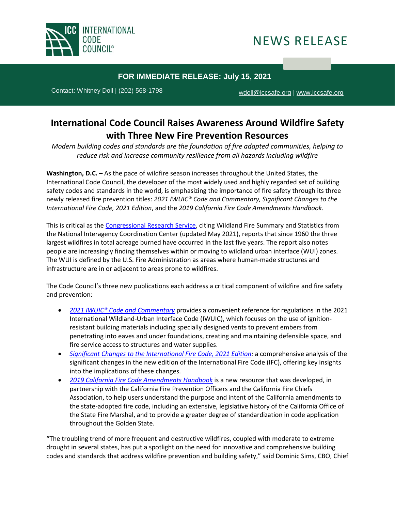

## NEWS RELEASE

## **FOR IMMEDIATE RELEASE: July 15, 2021**

Contact: Whitney Doll | (202) 568-1798 [wdoll@iccsafe.org](mailto:mneal@iccsafe.org) | [www.iccsafe.org](https://protect-us.mimecast.com/s/a2HhCOYROQfkGkPiX_TiJ?domain=mailing.iccsafe.org)

## **International Code Council Raises Awareness Around Wildfire Safety with Three New Fire Prevention Resources**

*Modern building codes and standards are the foundation of fire adapted communities, helping to reduce risk and increase community resilience from all hazards including wildfire*

**Washington, D.C. –** As the pace of wildfire season increases throughout the United States, the International Code Council, the developer of the most widely used and highly regarded set of building safety codes and standards in the world, is emphasizing the importance of fire safety through its three newly released fire prevention titles: *2021 IWUIC® Code and Commentary, Significant Changes to the International Fire Code, 2021 Edition*, and the *2019 California Fire Code Amendments Handbook*.

This is critical as the [Congressional](https://crsreports.congress.gov/product/pdf/IF/IF10244) Research Service, citing Wildland Fire Summary and Statistics from the National Interagency Coordination Center (updated May 2021), reports that since 1960 the three largest wildfires in total acreage burned have occurred in the last five years. The report also notes people are increasingly finding themselves within or moving to wildland urban interface (WUI) zones. The WUI is defined by the U.S. Fire Administration as areas where human-made structures and infrastructure are in or adjacent to areas prone to wildfires.

The Code Council's three new publications each address a critical component of wildfire and fire safety and prevention:

- *[2021 IWUIC® Code and Commentary](https://shop.iccsafe.org/2021-iwuicr-code-and-commentary.html)* provides a convenient reference for regulations in the 2021 International Wildland-Urban Interface Code (IWUIC), which focuses on the use of ignitionresistant building materials including specially designed vents to prevent embers from penetrating into eaves and under foundations, creating and maintaining defensible space, and fire service access to structures and water supplies.
- *Significant Changes to the [International](https://shop.iccsafe.org/significant-changes-to-the-international-fire-coder-2021-edition.html) Fire Code, 2021 Edition:* a comprehensive analysis of the significant changes in the new edition of the International Fire Code (IFC), offering key insights into the implications of these changes.
- *2019 California Fire Code [Amendments](https://shop.iccsafe.org/2019-california-fire-code-amendments-handbook.html) Handbook* is a new resource that was developed, in partnership with the California Fire Prevention Officers and the California Fire Chiefs Association, to help users understand the purpose and intent of the California amendments to the state-adopted fire code, including an extensive, legislative history of the California Office of the State Fire Marshal, and to provide a greater degree of standardization in code application throughout the Golden State.

"The troubling trend of more frequent and destructive wildfires, coupled with moderate to extreme drought in several states, has put a spotlight on the need for innovative and comprehensive building codes and standards that address wildfire prevention and building safety," said Dominic Sims, CBO, Chief